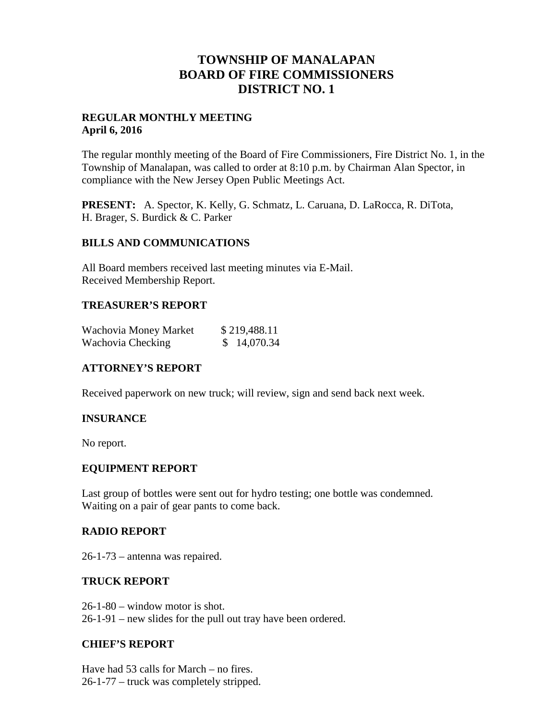# **TOWNSHIP OF MANALAPAN BOARD OF FIRE COMMISSIONERS DISTRICT NO. 1**

## **REGULAR MONTHLY MEETING April 6, 2016**

The regular monthly meeting of the Board of Fire Commissioners, Fire District No. 1, in the Township of Manalapan, was called to order at 8:10 p.m. by Chairman Alan Spector, in compliance with the New Jersey Open Public Meetings Act.

**PRESENT:** A. Spector, K. Kelly, G. Schmatz, L. Caruana, D. LaRocca, R. DiTota, H. Brager, S. Burdick & C. Parker

## **BILLS AND COMMUNICATIONS**

All Board members received last meeting minutes via E-Mail. Received Membership Report.

## **TREASURER'S REPORT**

| Wachovia Money Market | \$219,488.11 |
|-----------------------|--------------|
| Wachovia Checking     | \$14,070.34  |

## **ATTORNEY'S REPORT**

Received paperwork on new truck; will review, sign and send back next week.

## **INSURANCE**

No report.

## **EQUIPMENT REPORT**

Last group of bottles were sent out for hydro testing; one bottle was condemned. Waiting on a pair of gear pants to come back.

## **RADIO REPORT**

26-1-73 – antenna was repaired.

#### **TRUCK REPORT**

26-1-80 – window motor is shot. 26-1-91 – new slides for the pull out tray have been ordered.

#### **CHIEF'S REPORT**

Have had 53 calls for March – no fires. 26-1-77 – truck was completely stripped.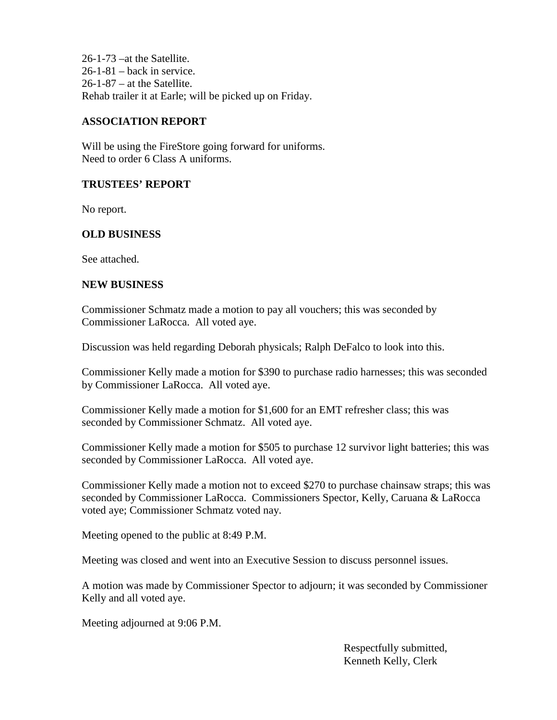26-1-73 –at the Satellite.  $26-1-81$  – back in service.  $26-1-87$  – at the Satellite. Rehab trailer it at Earle; will be picked up on Friday.

## **ASSOCIATION REPORT**

Will be using the FireStore going forward for uniforms. Need to order 6 Class A uniforms.

## **TRUSTEES' REPORT**

No report.

## **OLD BUSINESS**

See attached.

#### **NEW BUSINESS**

Commissioner Schmatz made a motion to pay all vouchers; this was seconded by Commissioner LaRocca. All voted aye.

Discussion was held regarding Deborah physicals; Ralph DeFalco to look into this.

Commissioner Kelly made a motion for \$390 to purchase radio harnesses; this was seconded by Commissioner LaRocca. All voted aye.

Commissioner Kelly made a motion for \$1,600 for an EMT refresher class; this was seconded by Commissioner Schmatz. All voted aye.

Commissioner Kelly made a motion for \$505 to purchase 12 survivor light batteries; this was seconded by Commissioner LaRocca. All voted aye.

Commissioner Kelly made a motion not to exceed \$270 to purchase chainsaw straps; this was seconded by Commissioner LaRocca. Commissioners Spector, Kelly, Caruana & LaRocca voted aye; Commissioner Schmatz voted nay.

Meeting opened to the public at 8:49 P.M.

Meeting was closed and went into an Executive Session to discuss personnel issues.

A motion was made by Commissioner Spector to adjourn; it was seconded by Commissioner Kelly and all voted aye.

Meeting adjourned at 9:06 P.M.

Respectfully submitted, Kenneth Kelly, Clerk